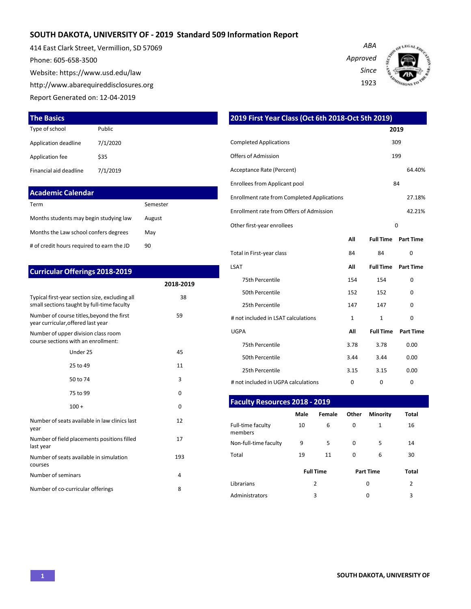## **SOUTH DAKOTA, UNIVERSITY OF - 2019 Standard 509 Information Report**

414 East Clark Street, Vermillion, SD 57069 Phone: 605-658-3500 Website[: https://www.usd.edu/law](http://www.usd.edu/law) [http://www.abarequireddisclosures.org](http://www.abarequireddisclosures.org/) Report Generated on: 12-04-2019





| <b>The Basics</b>      |          |
|------------------------|----------|
| Type of school         | Public   |
| Application deadline   | 7/1/2020 |
| Application fee        | \$35     |
| Financial aid deadline | 7/1/2019 |

| <b>Academic Calendar</b>                  |          |
|-------------------------------------------|----------|
| Term                                      | Semester |
| Months students may begin studying law    | August   |
| Months the Law school confers degrees     | May      |
| # of credit hours required to earn the JD | 90       |

| <b>Curricular Offerings 2018-2019</b> |
|---------------------------------------|
|---------------------------------------|

|                                                                                              | 2018-2019 |
|----------------------------------------------------------------------------------------------|-----------|
| Typical first-year section size, excluding all<br>small sections taught by full-time faculty | 38        |
| Number of course titles, beyond the first<br>year curricular, offered last year              | 59        |
| Number of upper division class room<br>course sections with an enrollment:                   |           |
| Under 25                                                                                     | 45        |
| 25 to 49                                                                                     | 11        |
| 50 to 74                                                                                     | 3         |
| 75 to 99                                                                                     | 0         |
| $100 +$                                                                                      | 0         |
| Number of seats available in law clinics last<br>year                                        | 12        |
| Number of field placements positions filled<br>last year                                     | 17        |
| Number of seats available in simulation<br>courses                                           | 193       |
| Number of seminars                                                                           | 4         |
| Number of co-curricular offerings                                                            | 8         |

|                                                                                 |                                                                                                                                | 2019 First Year Class (Oct 6th 2018-Oct 5th 2019) |                                                                        |                                                    |                  |  |  |  |
|---------------------------------------------------------------------------------|--------------------------------------------------------------------------------------------------------------------------------|---------------------------------------------------|------------------------------------------------------------------------|----------------------------------------------------|------------------|--|--|--|
| Public                                                                          |                                                                                                                                |                                                   |                                                                        |                                                    | 2019             |  |  |  |
| 7/1/2020                                                                        |                                                                                                                                | <b>Completed Applications</b>                     |                                                                        |                                                    |                  |  |  |  |
| \$35                                                                            |                                                                                                                                | Offers of Admission                               |                                                                        |                                                    | 199              |  |  |  |
| 7/1/2019                                                                        |                                                                                                                                | Acceptance Rate (Percent)                         |                                                                        |                                                    | 64.40%           |  |  |  |
|                                                                                 |                                                                                                                                | <b>Enrollees from Applicant pool</b>              |                                                                        |                                                    | 84               |  |  |  |
| <b>Academic Calendar</b>                                                        |                                                                                                                                |                                                   |                                                                        |                                                    | 27.18%           |  |  |  |
|                                                                                 | Semester                                                                                                                       |                                                   |                                                                        |                                                    | 42.21%           |  |  |  |
| Months students may begin studying law                                          | August                                                                                                                         |                                                   |                                                                        |                                                    |                  |  |  |  |
| Months the Law school confers degrees                                           |                                                                                                                                |                                                   |                                                                        |                                                    | 0                |  |  |  |
| # of credit hours required to earn the JD                                       |                                                                                                                                |                                                   | All                                                                    | <b>Full Time</b>                                   | <b>Part Time</b> |  |  |  |
|                                                                                 |                                                                                                                                | Total in First-year class                         | 84                                                                     | 84                                                 | 0                |  |  |  |
|                                                                                 |                                                                                                                                | LSAT                                              | All                                                                    | <b>Full Time</b>                                   | <b>Part Time</b> |  |  |  |
|                                                                                 | 2018-2019                                                                                                                      | 75th Percentile                                   | 154                                                                    | 154                                                | 0                |  |  |  |
|                                                                                 | 38                                                                                                                             | 50th Percentile                                   | 152                                                                    | 152                                                | 0                |  |  |  |
| small sections taught by full-time faculty                                      |                                                                                                                                | 25th Percentile                                   | 147                                                                    | 147                                                | 0                |  |  |  |
| Number of course titles, beyond the first<br>year curricular, offered last year | 59                                                                                                                             | # not included in LSAT calculations               | 1                                                                      | 1                                                  | 0                |  |  |  |
| Number of upper division class room                                             |                                                                                                                                | <b>UGPA</b>                                       | All                                                                    | <b>Full Time</b>                                   | <b>Part Time</b> |  |  |  |
|                                                                                 |                                                                                                                                | 75th Percentile                                   | 3.78                                                                   | 3.78                                               | 0.00             |  |  |  |
| Under 25                                                                        |                                                                                                                                | 50th Percentile                                   | 3.44                                                                   | 3.44                                               | 0.00             |  |  |  |
|                                                                                 | 11                                                                                                                             | 25th Percentile                                   | 3.15                                                                   | 3.15                                               | 0.00             |  |  |  |
|                                                                                 | 3                                                                                                                              | # not included in UGPA calculations               | 0                                                                      | 0                                                  | 0                |  |  |  |
|                                                                                 | <b>Curricular Offerings 2018-2019</b><br>Typical first-year section size, excluding all<br>course sections with an enrollment: | May<br>90<br>45                                   | Enrollment rate from Offers of Admission<br>Other first-year enrollees | <b>Enrollment rate from Completed Applications</b> | 309              |  |  |  |

#### **Faculty Resources 2018 - 2019**

|                              | Male     | Female           | Other  | <b>Minority</b>  | <b>Total</b> |  |  |
|------------------------------|----------|------------------|--------|------------------|--------------|--|--|
| Full-time faculty<br>members | 10       | 6                | 0      | 1                | 16           |  |  |
| Non-full-time faculty        | 9        | 5                | 0<br>5 |                  | 14           |  |  |
| Total                        | 19<br>11 |                  | 0      | 6                | 30           |  |  |
|                              |          | <b>Full Time</b> |        | <b>Part Time</b> | <b>Total</b> |  |  |
| Librarians                   |          | 2                |        | 0                | 2            |  |  |
| Administrators               | 3        |                  |        | 0                | 3            |  |  |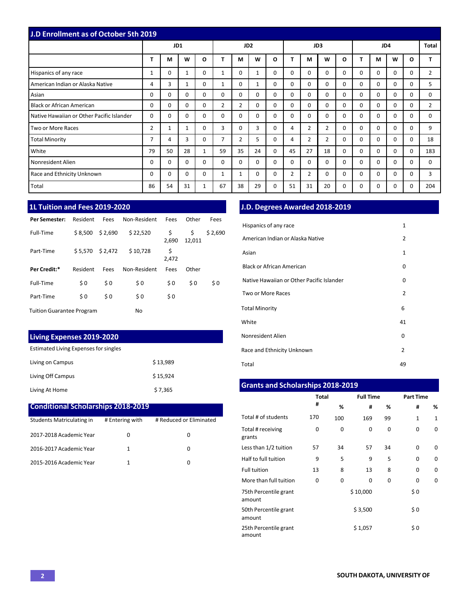| <b>J.D Enrollment as of October 5th 2019</b> |                |          |              |   |                 |                |          |          |    |                |                |          |          |              |          |          |                |
|----------------------------------------------|----------------|----------|--------------|---|-----------------|----------------|----------|----------|----|----------------|----------------|----------|----------|--------------|----------|----------|----------------|
|                                              |                | JD1      |              |   | JD <sub>2</sub> |                |          | JD3      |    |                | JD4            |          |          | <b>Total</b> |          |          |                |
|                                              | т              | М        | W            | O |                 | М              | W        | $\Omega$ |    | M              | W              | O        | T        | M            | W        | O        | т              |
| Hispanics of any race                        | $\mathbf{1}$   | $\Omega$ |              | 0 | 1               | 0              | 1        | 0        | 0  | 0              | 0              | $\Omega$ | 0        | $\Omega$     | $\Omega$ | $\Omega$ | $\overline{2}$ |
| American Indian or Alaska Native             | 4              | 3        |              | 0 | $\mathbf{1}$    | 0              | 1        | 0        | 0  | 0              | $\Omega$       | $\Omega$ | 0        | $\Omega$     | $\Omega$ | $\Omega$ | 5              |
| Asian                                        | 0              | $\Omega$ | 0            | 0 | 0               | 0              | $\Omega$ | 0        | 0  | 0              | 0              | $\Omega$ | 0        | $\Omega$     | $\Omega$ | $\Omega$ | 0              |
| <b>Black or African American</b>             | 0              | $\Omega$ | 0            | 0 | $\overline{2}$  | $\overline{2}$ | $\Omega$ | $\Omega$ | 0  | 0              | $\Omega$       | $\Omega$ | $\Omega$ | $\Omega$     | $\Omega$ | $\Omega$ | $\overline{2}$ |
| Native Hawaiian or Other Pacific Islander    | $\Omega$       | $\Omega$ | $\Omega$     | 0 | 0               | 0              | 0        | 0        | 0  | 0              | 0              | $\Omega$ | 0        | $\Omega$     | $\Omega$ | $\Omega$ | 0              |
| Two or More Races                            | $\overline{2}$ | 1        | 1            | 0 | 3               | 0              | 3        | 0        | 4  | $\overline{2}$ | $\overline{2}$ | $\Omega$ | 0        | $\Omega$     | $\Omega$ | 0        | 9              |
| <b>Total Minority</b>                        | 7              | 4        | 3            | 0 | 7               | $\overline{2}$ | 5        | 0        | 4  | $\overline{2}$ | $\overline{2}$ | $\Omega$ | 0        | $\Omega$     | $\Omega$ | $\Omega$ | 18             |
| White                                        | 79             | 50       | 28           | 1 | 59              | 35             | 24       | 0        | 45 | 27             | 18             | $\Omega$ | 0        | $\Omega$     | $\Omega$ | $\Omega$ | 183            |
| Nonresident Alien                            | $\Omega$       | $\Omega$ | <sup>0</sup> | 0 | 0               | 0              | $\Omega$ | 0        | 0  | 0              | 0              | $\Omega$ | 0        | 0            | 0        | 0        | 0              |
| Race and Ethnicity Unknown                   | $\Omega$       | 0        | 0            | 0 |                 | 1              | $\Omega$ | 0        | 2  | $\overline{2}$ | 0              | $\Omega$ | $\Omega$ | 0            | $\Omega$ | 0        | 3              |
| Total                                        | 86             | 54       | 31           | 1 | 67              | 38             | 29       | 0        | 51 | 31             | 20             | 0        | 0        | 0            | 0        | 0        | 204            |

| <b>Per Semester:</b>             | Resident | Fees    | Non-Resident | Fees        | Other        | Fees    |
|----------------------------------|----------|---------|--------------|-------------|--------------|---------|
| Full-Time                        | \$8.500  | \$2,690 | \$22,520     | \$<br>2,690 | \$<br>12,011 | \$2,690 |
| Part-Time                        | \$5.570  | \$2,472 | \$10,728     | \$<br>2,472 |              |         |
| Per Credit:*                     | Resident | Fees    | Non-Resident | Fees        | Other        |         |
| Full-Time                        | \$0      | \$0     | \$0          | \$0         | \$0          | \$0     |
| Part-Time                        | \$0      | \$0     | \$0          | \$0         |              |         |
| <b>Tuition Guarantee Program</b> |          |         | No           |             |              |         |

# **Living Expenses 2019-2020**

| Estimated Living Expenses for singles |          |  |  |  |  |  |
|---------------------------------------|----------|--|--|--|--|--|
| Living on Campus                      | \$13,989 |  |  |  |  |  |
| Living Off Campus                     | \$15.924 |  |  |  |  |  |
| Living At Home                        | \$7,365  |  |  |  |  |  |

### **Conditional Scholarships 2018-2019**

| Students Matriculating in | # Entering with | # Reduced or Eliminated |
|---------------------------|-----------------|-------------------------|
| 2017-2018 Academic Year   |                 | O                       |
| 2016-2017 Academic Year   |                 | O                       |
| 2015-2016 Academic Year   |                 | n                       |

## **1L Tuition and Fees 2019-2020 J.D. Degrees Awarded 2018-2019**

| Hispanics of any race                     | 1              |
|-------------------------------------------|----------------|
| American Indian or Alaska Native          | $\overline{2}$ |
| Asian                                     | $\mathbf{1}$   |
| <b>Black or African American</b>          | 0              |
| Native Hawaiian or Other Pacific Islander | 0              |
| <b>Two or More Races</b>                  | $\overline{2}$ |
| <b>Total Minority</b>                     | 6              |
| White                                     | 41             |
| Nonresident Alien                         | 0              |
| Race and Ethnicity Unknown                | $\overline{2}$ |
| Total                                     | 49             |

| Living At Home                            |                 | \$7,365                 | <b>Grants and Scholarships 2018-2019</b> |     |             |          |                  |                  |                |  |
|-------------------------------------------|-----------------|-------------------------|------------------------------------------|-----|-------------|----------|------------------|------------------|----------------|--|
|                                           |                 |                         |                                          |     | Total       |          | <b>Full Time</b> | <b>Part Time</b> |                |  |
| <b>Conditional Scholarships 2018-2019</b> |                 |                         |                                          | #   | %           | #        | %                | #                | %              |  |
| Students Matriculating in                 | # Entering with | # Reduced or Eliminated | Total # of students                      | 170 | 100         | 169      | 99               | $\mathbf{1}$     | 1              |  |
| 2017-2018 Academic Year                   | 0               | 0                       | Total # receiving<br>grants              | 0   | $\mathbf 0$ | 0        | 0                | 0                | $\overline{0}$ |  |
| 2016-2017 Academic Year                   | $\mathbf{1}$    | 0                       | Less than 1/2 tuition                    | 57  | 34          | 57       | 34               | 0                | 0              |  |
| 2015-2016 Academic Year                   | $\mathbf{1}$    | 0                       | Half to full tuition                     | 9   | 5           | 9        | 5                | 0                | $\overline{0}$ |  |
|                                           |                 | Full tuition            | 13                                       | 8   | 13          | 8        | 0                | 0                |                |  |
|                                           |                 |                         | More than full tuition                   | 0   | 0           | 0        | 0                | 0                | 0              |  |
|                                           |                 |                         | 75th Percentile grant<br>amount          |     |             | \$10,000 |                  | \$0              |                |  |
|                                           |                 |                         | 50th Percentile grant<br>amount          |     |             | \$3,500  |                  | \$0              |                |  |
|                                           |                 |                         | 25th Percentile grant<br>amount          |     |             | \$1,057  |                  | \$0              |                |  |